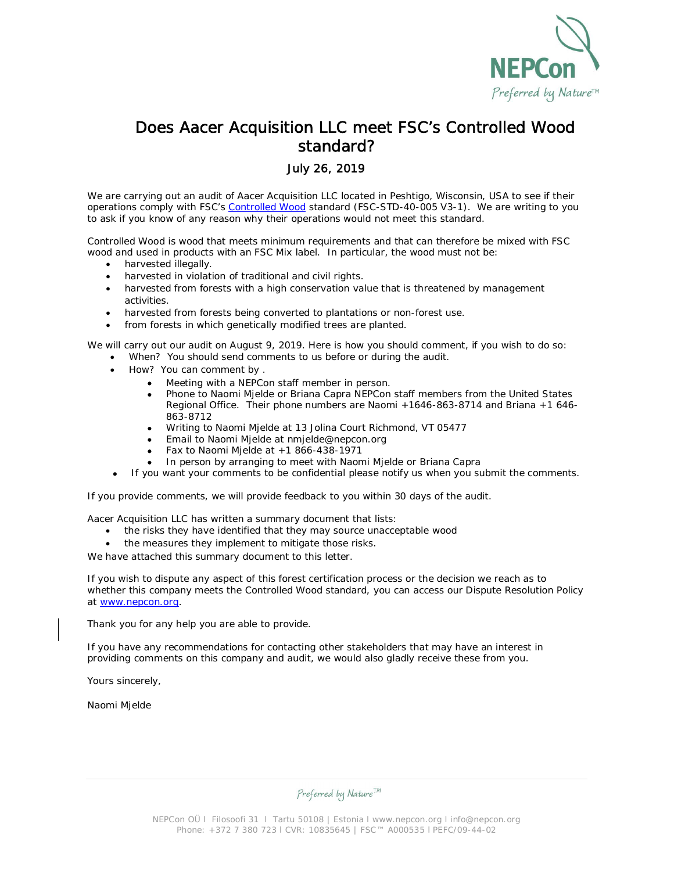

### Does Aacer Acquisition LLC meet FSC's Controlled Wood standard?

#### July 26, 2019

We are carrying out an audit of Aacer Acquisition LLC located in Peshtigo, Wisconsin, USA to see if their operations comply with FSC's Controlled Wood standard (FSC-STD-40-005 V3-1). We are writing to you to ask if you know of any reason why their operations would not meet this standard.

Controlled Wood is wood that meets minimum requirements and that can therefore be mixed with FSC wood and used in products with an FSC Mix label. In particular, the wood must not be:

- · harvested illegally.
- harvested in violation of traditional and civil rights.
- harvested from forests with a high conservation value that is threatened by management activities.
- harvested from forests being converted to plantations or non-forest use.
- from forests in which genetically modified trees are planted.

We will carry out our audit on August 9, 2019. Here is how you should comment, if you wish to do so:

- When? You should send comments to us before or during the audit.
- · How? You can comment by .
	- Meeting with a NEPCon staff member in person.
	- · Phone to Naomi Mjelde or Briana Capra NEPCon staff members from the United States Regional Office. Their phone numbers are Naomi +1646-863-8714 and Briana +1 646- 863-8712
	- · Writing to Naomi Mjelde at 13 Jolina Court Richmond, VT 05477
	- Email to Naomi Mjelde at nmjelde@nepcon.org
	- Fax to Naomi Mjelde at  $+1$  866-438-1971
	- · In person by arranging to meet with Naomi Mjelde or Briana Capra
	- If you want your comments to be confidential please notify us when you submit the comments.

If you provide comments, we will provide feedback to you within 30 days of the audit.

Aacer Acquisition LLC has written a summary document that lists:

- the risks they have identified that they may source unacceptable wood
- the measures they implement to mitigate those risks.

We have attached this summary document to this letter.

If you wish to dispute any aspect of this forest certification process or the decision we reach as to whether this company meets the Controlled Wood standard, you can access our Dispute Resolution Policy at www.nepcon.org.

Thank you for any help you are able to provide.

If you have any recommendations for contacting other stakeholders that may have an interest in providing comments on this company and audit, we would also gladly receive these from you.

Yours sincerely,

Naomi Mjelde

Preferred by Nature<sup>TM</sup>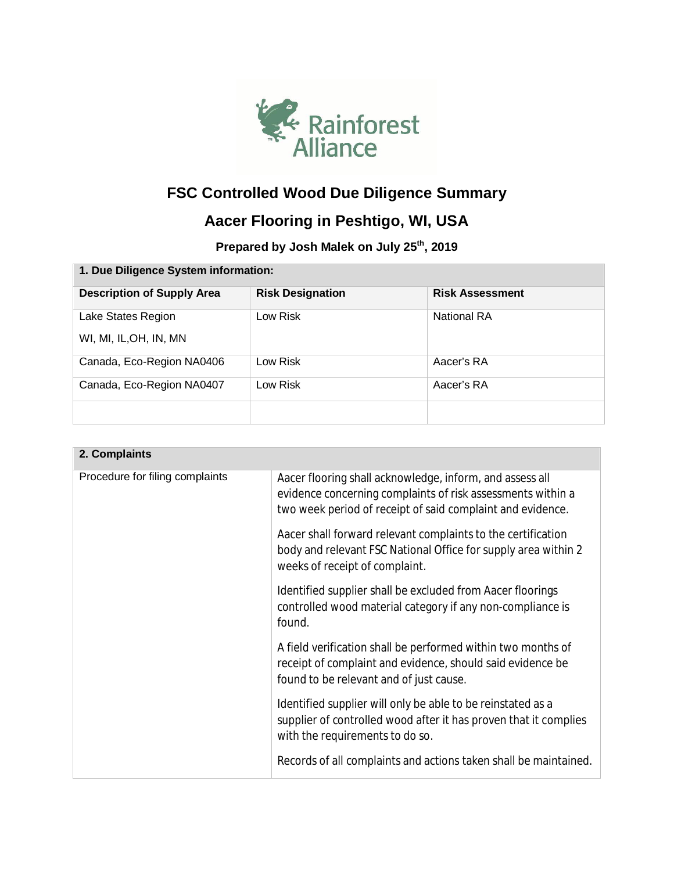

# **FSC Controlled Wood Due Diligence Summary**

## **Aacer Flooring in Peshtigo, WI, USA**

**Prepared by Josh Malek on July 25th, 2019**

| 1. Due Diligence System information: |                         |                        |  |  |
|--------------------------------------|-------------------------|------------------------|--|--|
| <b>Description of Supply Area</b>    | <b>Risk Designation</b> | <b>Risk Assessment</b> |  |  |
| Lake States Region                   | Low Risk                | <b>National RA</b>     |  |  |
| WI, MI, IL, OH, IN, MN               |                         |                        |  |  |
| Canada, Eco-Region NA0406            | Low Risk                | Aacer's RA             |  |  |
| Canada, Eco-Region NA0407            | Low Risk                | Aacer's RA             |  |  |
|                                      |                         |                        |  |  |

| 2. Complaints                   |                                                                                                                                                                                       |
|---------------------------------|---------------------------------------------------------------------------------------------------------------------------------------------------------------------------------------|
| Procedure for filing complaints | Aacer flooring shall acknowledge, inform, and assess all<br>evidence concerning complaints of risk assessments within a<br>two week period of receipt of said complaint and evidence. |
|                                 | Aacer shall forward relevant complaints to the certification<br>body and relevant FSC National Office for supply area within 2<br>weeks of receipt of complaint.                      |
|                                 | Identified supplier shall be excluded from Aacer floorings<br>controlled wood material category if any non-compliance is<br>found.                                                    |
|                                 | A field verification shall be performed within two months of<br>receipt of complaint and evidence, should said evidence be<br>found to be relevant and of just cause.                 |
|                                 | Identified supplier will only be able to be reinstated as a<br>supplier of controlled wood after it has proven that it complies<br>with the requirements to do so.                    |
|                                 | Records of all complaints and actions taken shall be maintained.                                                                                                                      |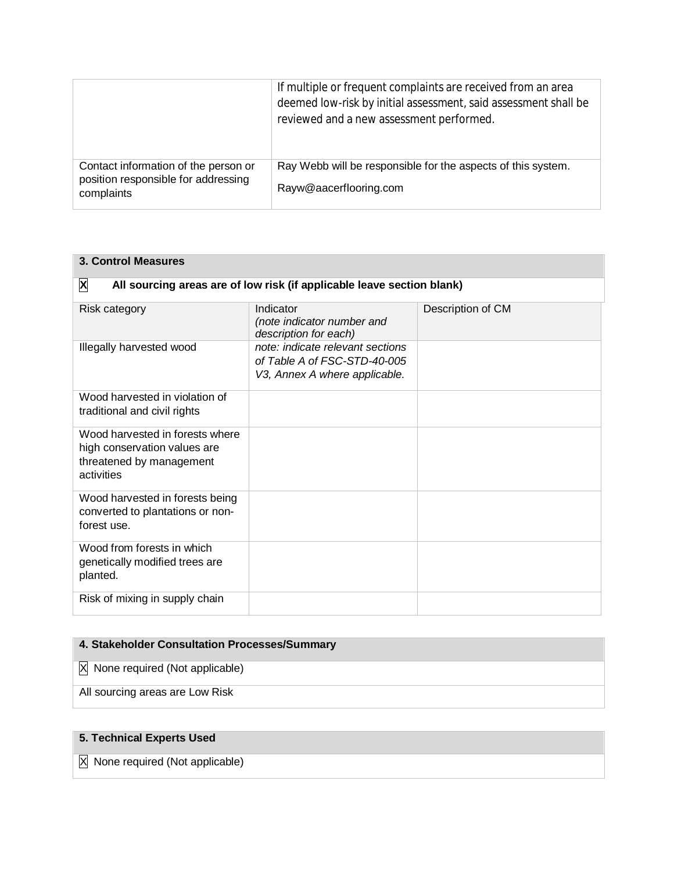|                                                                                           | If multiple or frequent complaints are received from an area<br>deemed low-risk by initial assessment, said assessment shall be<br>reviewed and a new assessment performed. |
|-------------------------------------------------------------------------------------------|-----------------------------------------------------------------------------------------------------------------------------------------------------------------------------|
| Contact information of the person or<br>position responsible for addressing<br>complaints | Ray Webb will be responsible for the aspects of this system.<br>Rayw@aacerflooring.com                                                                                      |

| <b>3. Control Measures</b>                                                                                |                                                                                                   |                   |  |  |
|-----------------------------------------------------------------------------------------------------------|---------------------------------------------------------------------------------------------------|-------------------|--|--|
| X<br>All sourcing areas are of low risk (if applicable leave section blank)                               |                                                                                                   |                   |  |  |
| <b>Risk category</b>                                                                                      | Indicator<br>(note indicator number and<br>description for each)                                  | Description of CM |  |  |
| Illegally harvested wood                                                                                  | note: indicate relevant sections<br>of Table A of FSC-STD-40-005<br>V3, Annex A where applicable. |                   |  |  |
| Wood harvested in violation of<br>traditional and civil rights                                            |                                                                                                   |                   |  |  |
| Wood harvested in forests where<br>high conservation values are<br>threatened by management<br>activities |                                                                                                   |                   |  |  |
| Wood harvested in forests being<br>converted to plantations or non-<br>forest use.                        |                                                                                                   |                   |  |  |
| Wood from forests in which<br>genetically modified trees are<br>planted.                                  |                                                                                                   |                   |  |  |
| Risk of mixing in supply chain                                                                            |                                                                                                   |                   |  |  |

### **4. Stakeholder Consultation Processes/Summary**

X None required (Not applicable)

All sourcing areas are Low Risk

### **5. Technical Experts Used**

X None required (Not applicable)